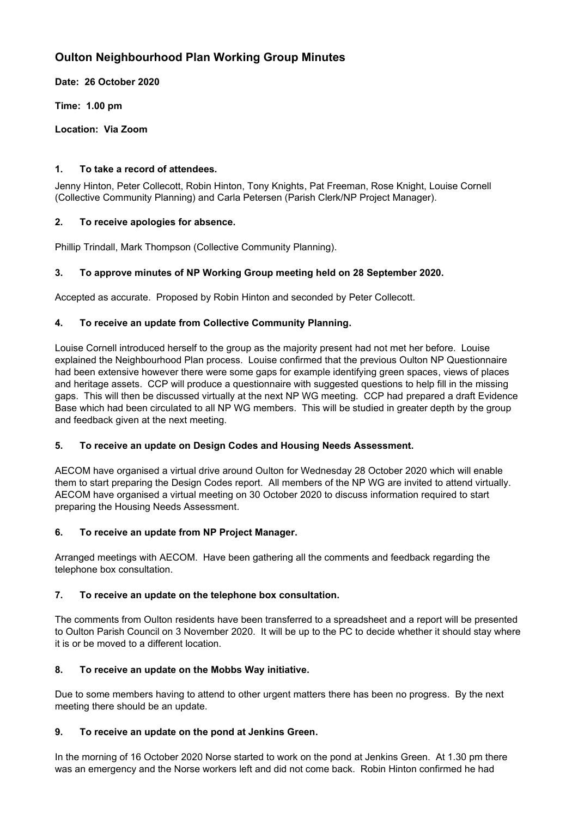# **Oulton Neighbourhood Plan Working Group Minutes**

**Date: 26 October 2020**

**Time: 1.00 pm**

**Location: Via Zoom**

## **1. To take a record of attendees.**

Jenny Hinton, Peter Collecott, Robin Hinton, Tony Knights, Pat Freeman, Rose Knight, Louise Cornell (Collective Community Planning) and Carla Petersen (Parish Clerk/NP Project Manager).

# **2. To receive apologies for absence.**

Phillip Trindall, Mark Thompson (Collective Community Planning).

# **3. To approve minutes of NP Working Group meeting held on 28 September 2020.**

Accepted as accurate. Proposed by Robin Hinton and seconded by Peter Collecott.

# **4. To receive an update from Collective Community Planning.**

Louise Cornell introduced herself to the group as the majority present had not met her before. Louise explained the Neighbourhood Plan process. Louise confirmed that the previous Oulton NP Questionnaire had been extensive however there were some gaps for example identifying green spaces, views of places and heritage assets. CCP will produce a questionnaire with suggested questions to help fill in the missing gaps. This will then be discussed virtually at the next NP WG meeting. CCP had prepared a draft Evidence Base which had been circulated to all NP WG members. This will be studied in greater depth by the group and feedback given at the next meeting.

#### **5. To receive an update on Design Codes and Housing Needs Assessment.**

AECOM have organised a virtual drive around Oulton for Wednesday 28 October 2020 which will enable them to start preparing the Design Codes report. All members of the NP WG are invited to attend virtually. AECOM have organised a virtual meeting on 30 October 2020 to discuss information required to start preparing the Housing Needs Assessment.

#### **6. To receive an update from NP Project Manager.**

Arranged meetings with AECOM. Have been gathering all the comments and feedback regarding the telephone box consultation.

#### **7. To receive an update on the telephone box consultation.**

The comments from Oulton residents have been transferred to a spreadsheet and a report will be presented to Oulton Parish Council on 3 November 2020. It will be up to the PC to decide whether it should stay where it is or be moved to a different location.

#### **8. To receive an update on the Mobbs Way initiative.**

Due to some members having to attend to other urgent matters there has been no progress. By the next meeting there should be an update.

#### **9. To receive an update on the pond at Jenkins Green.**

In the morning of 16 October 2020 Norse started to work on the pond at Jenkins Green. At 1.30 pm there was an emergency and the Norse workers left and did not come back. Robin Hinton confirmed he had